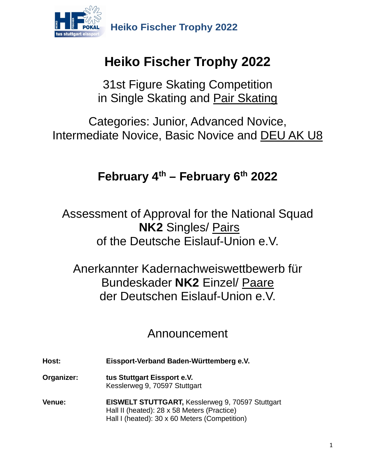

# **Heiko Fischer Trophy 2022**

31st Figure Skating Competition in Single Skating and Pair Skating

Categories: Junior, Advanced Novice, Intermediate Novice, Basic Novice and **DEU AK U8** 

## **February 4th – February 6th 2022**

Assessment of Approval for the National Squad **NK2** Singles/ Pairs of the Deutsche Eislauf-Union e.V.

Anerkannter Kadernachweiswettbewerb für Bundeskader **NK2** Einzel/ Paare der Deutschen Eislauf-Union e.V.

## Announcement

**Host: Eissport-Verband Baden-Württemberg e.V.**

**Organizer: tus Stuttgart Eissport e.V.** Kesslerweg 9, 70597 Stuttgart

**Venue: EISWELT STUTTGART,** Kesslerweg 9, 70597 Stuttgart Hall II (heated): 28 x 58 Meters (Practice) Hall I (heated): 30 x 60 Meters (Competition)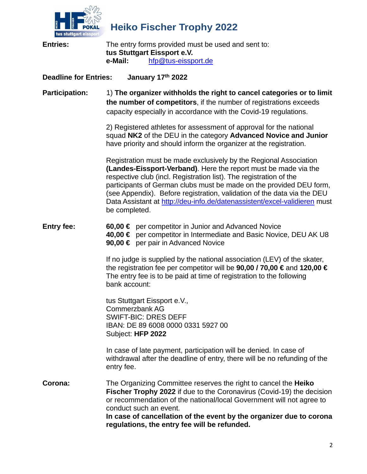

| tus stuttgart eissport       |                                                                                                                                                                                                                                                                                                                                                                                                                                                            |
|------------------------------|------------------------------------------------------------------------------------------------------------------------------------------------------------------------------------------------------------------------------------------------------------------------------------------------------------------------------------------------------------------------------------------------------------------------------------------------------------|
| <b>Entries:</b>              | The entry forms provided must be used and sent to:<br>tus Stuttgart Eissport e.V.<br>e-Mail:<br>hfp@tus-eissport.de                                                                                                                                                                                                                                                                                                                                        |
| <b>Deadline for Entries:</b> | January 17th 2022                                                                                                                                                                                                                                                                                                                                                                                                                                          |
| <b>Participation:</b>        | 1) The organizer withholds the right to cancel categories or to limit<br>the number of competitors, if the number of registrations exceeds<br>capacity especially in accordance with the Covid-19 regulations.                                                                                                                                                                                                                                             |
|                              | 2) Registered athletes for assessment of approval for the national<br>squad NK2 of the DEU in the category Advanced Novice and Junior<br>have priority and should inform the organizer at the registration.                                                                                                                                                                                                                                                |
|                              | Registration must be made exclusively by the Regional Association<br>(Landes-Eissport-Verband). Here the report must be made via the<br>respective club (incl. Registration list). The registration of the<br>participants of German clubs must be made on the provided DEU form,<br>(see Appendix). Before registration, validation of the data via the DEU<br>Data Assistant at http://deu-info.de/datenassistent/excel-validieren must<br>be completed. |
| <b>Entry fee:</b>            | 60,00 $∈$ per competitor in Junior and Advanced Novice<br>40,00 € per competitor in Intermediate and Basic Novice, DEU AK U8<br>90,00 € per pair in Advanced Novice                                                                                                                                                                                                                                                                                        |
|                              | If no judge is supplied by the national association (LEV) of the skater,<br>the registration fee per competitor will be 90,00 / 70,00 € and 120,00 €<br>The entry fee is to be paid at time of registration to the following<br>bank account:                                                                                                                                                                                                              |
|                              | tus Stuttgart Eissport e.V.,<br><b>Commerzbank AG</b><br><b>SWIFT-BIC: DRES DEFF</b><br>IBAN: DE 89 6008 0000 0331 5927 00<br>Subject: HFP 2022                                                                                                                                                                                                                                                                                                            |
|                              | In case of late payment, participation will be denied. In case of<br>withdrawal after the deadline of entry, there will be no refunding of the<br>entry fee.                                                                                                                                                                                                                                                                                               |
| Corona:                      | The Organizing Committee reserves the right to cancel the Heiko<br><b>Fischer Trophy 2022</b> if due to the Coronavirus (Covid-19) the decision<br>or recommendation of the national/local Government will not agree to<br>conduct such an event.<br>In case of cancellation of the event by the organizer due to corona<br>regulations, the entry fee will be refunded.                                                                                   |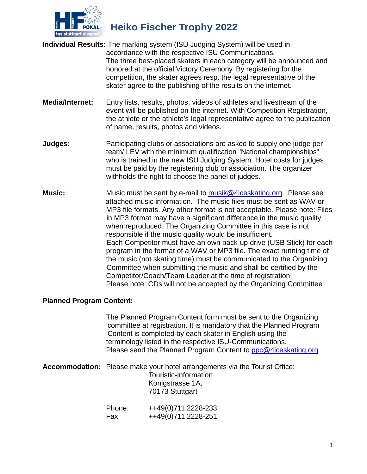

- **Individual Results:** The marking system (ISU Judging System) will be used in accordance with the respective ISU Communications. The three best-placed skaters in each category will be announced and honored at the official Victory Ceremony. By registering for the competition, the skater agrees resp. the legal representative of the skater agree to the publishing of the results on the internet.
- **Media/Internet:** Entry lists, results, photos, videos of athletes and livestream of the event will be published on the internet. With Competition Registration, the athlete or the athlete's legal representative agree to the publication of name, results, photos and videos.
- **Judges:** Participating clubs or associations are asked to supply one judge per team/ LEV with the minimum qualification "National championships" who is trained in the new ISU Judging System. Hotel costs for judges must be paid by the registering club or association. The organizer withholds the right to choose the panel of judges.
- **Music:** Music must be sent by e-mail to [musik@4iceskating.org.](mailto:musik@4iceskating.org) Please see attached music information. The music files must be sent as WAV or MP3 file formats. Any other format is not acceptable. Please note: Files in MP3 format may have a significant difference in the music quality when reproduced. The Organizing Committee in this case is not responsible if the music quality would be insufficient. Each Competitor must have an own back-up drive (USB Stick) for each program in the format of a WAV or MP3 file. The exact running time of the music (not skating time) must be communicated to the Organizing Committee when submitting the music and shall be certified by the Competitor/Coach/Team Leader at the time of registration. Please note: CDs will not be accepted by the Organizing Committee

#### **Planned Program Content:**

The Planned Program Content form must be sent to the Organizing committee at registration. It is mandatory that the Planned Program Content is completed by each skater in English using the terminology listed in the respective ISU-Communications. Please send the Planned Program Content to [ppc@4iceskating.org](mailto:ppc@4iceskating.org)

**Accommodation:** Please make your hotel arrangements via the Tourist Office: Touristic-Information Königstrasse 1A, 70173 Stuttgart

| Phone. | ++49(0)711 2228-233 |
|--------|---------------------|
| Fax    | ++49(0)711 2228-251 |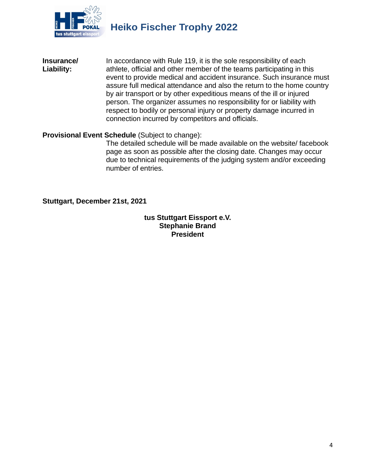

**Insurance/** In accordance with Rule 119, it is the sole responsibility of each Liability:<br>
Liability: athlete, official and other member of the teams participating in the **Liability:** athlete, official and other member of the teams participating in this event to provide medical and accident insurance. Such insurance must assure full medical attendance and also the return to the home country by air transport or by other expeditious means of the ill or injured person. The organizer assumes no responsibility for or liability with respect to bodily or personal injury or property damage incurred in connection incurred by competitors and officials.

#### **Provisional Event Schedule** (Subject to change):

The detailed schedule will be made available on the website/ facebook page as soon as possible after the closing date. Changes may occur due to technical requirements of the judging system and/or exceeding number of entries.

**Stuttgart, December 21st, 2021**

**tus Stuttgart Eissport e.V. Stephanie Brand President**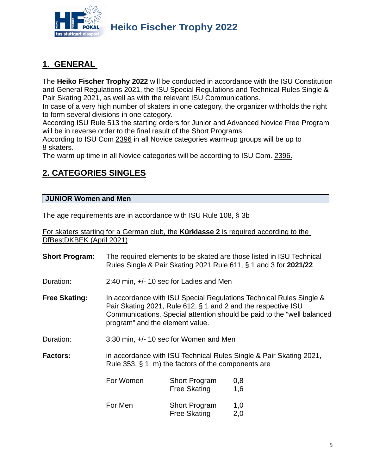

## **1. GENERAL**

The **Heiko Fischer Trophy 2022** will be conducted in accordance with the ISU Constitution and General Regulations 2021, the ISU Special Regulations and Technical Rules Single & Pair Skating 2021, as well as with the relevant ISU Communications.

In case of a very high number of skaters in one category, the organizer withholds the right to form several divisions in one category.

According ISU Rule 513 the starting orders for Junior and Advanced Novice Free Program will be in reverse order to the final result of the Short Programs.

According to ISU Com 2396 in all Novice categories warm-up groups will be up to 8 skaters.

The warm up time in all Novice categories will be according to ISU Com. 2396.

## **2. CATEGORIES SINGLES**

## **JUNIOR Women and Men**

The age requirements are in accordance with ISU Rule 108, § 3b

For skaters starting for a German club, the **Kürklasse 2** is required according to the DfBestDKBEK (April 2021)

| <b>Short Program:</b> |                                                                                                                                                                                                                                                    |                                             | The required elements to be skated are those listed in ISU Technical<br>Rules Single & Pair Skating 2021 Rule 611, § 1 and 3 for 2021/22 |  |
|-----------------------|----------------------------------------------------------------------------------------------------------------------------------------------------------------------------------------------------------------------------------------------------|---------------------------------------------|------------------------------------------------------------------------------------------------------------------------------------------|--|
| Duration:             | 2:40 min, +/- 10 sec for Ladies and Men                                                                                                                                                                                                            |                                             |                                                                                                                                          |  |
| <b>Free Skating:</b>  | In accordance with ISU Special Regulations Technical Rules Single &<br>Pair Skating 2021, Rule 612, § 1 and 2 and the respective ISU<br>Communications. Special attention should be paid to the "well balanced"<br>program" and the element value. |                                             |                                                                                                                                          |  |
| Duration:             | 3:30 min, +/- 10 sec for Women and Men                                                                                                                                                                                                             |                                             |                                                                                                                                          |  |
| <b>Factors:</b>       | in accordance with ISU Technical Rules Single & Pair Skating 2021,<br>Rule 353, $\S$ 1, m) the factors of the components are                                                                                                                       |                                             |                                                                                                                                          |  |
|                       | For Women                                                                                                                                                                                                                                          | <b>Short Program</b><br><b>Free Skating</b> | 0,8<br>1,6                                                                                                                               |  |
|                       | For Men                                                                                                                                                                                                                                            | <b>Short Program</b><br><b>Free Skating</b> | 1,0<br>2,0                                                                                                                               |  |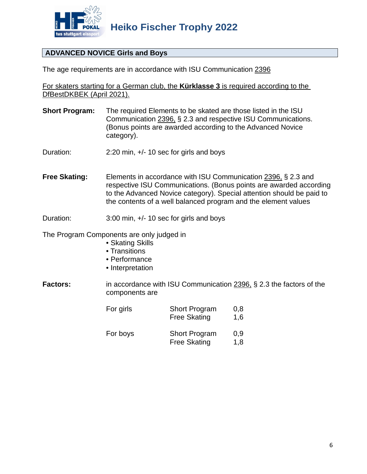

## **ADVANCED NOVICE Girls and Boys**

The age requirements are in accordance with ISU Communication 2396

For skaters starting for a German club, the **Kürklasse 3** is required according to the DfBestDKBEK (April 2021).

- **Short Program:** The required Elements to be skated are those listed in the ISU Communication 2396, § 2.3 and respective ISU Communications. (Bonus points are awarded according to the Advanced Novice category).
- Duration: 2:20 min, +/- 10 sec for girls and boys
- **Free Skating:** Elements in accordance with ISU Communication 2396, § 2.3 and respective ISU Communications. (Bonus points are awarded according to the Advanced Novice category). Special attention should be paid to the contents of a well balanced program and the element values
- Duration: 3:00 min, +/- 10 sec for girls and boys

The Program Components are only judged in

- Skating Skills
- Transitions
- Performance
- Interpretation
- **Factors:** in accordance with ISU Communication 2396, § 2.3 the factors of the components are

| For girls | <b>Short Program</b><br><b>Free Skating</b> | 0,8<br>1,6 |
|-----------|---------------------------------------------|------------|
| For boys  | <b>Short Program</b><br><b>Free Skating</b> | 0.9<br>1,8 |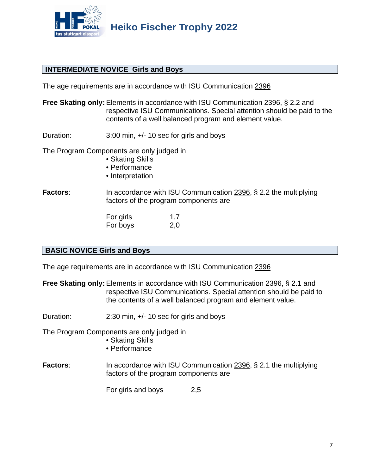

#### **INTERMEDIATE NOVICE Girls and Boys**

The age requirements are in accordance with ISU Communication 2396

- **Free Skating only:** Elements in accordance with ISU Communication 2396, § 2.2 and respective ISU Communications. Special attention should be paid to the contents of a well balanced program and element value.
- Duration: 3:00 min, +/- 10 sec for girls and boys

The Program Components are only judged in

- Skating Skills
- Performance
- Interpretation

**Factors**: In accordance with ISU Communication 2396, § 2.2 the multiplying factors of the program components are

> For girls 1,7 For boys 2,0

#### **BASIC NOVICE Girls and Boys**

The age requirements are in accordance with ISU Communication 2396

**Free Skating only:** Elements in accordance with ISU Communication 2396, § 2.1 and respective ISU Communications. Special attention should be paid to the contents of a well balanced program and element value.

Duration: 2:30 min, +/- 10 sec for girls and boys

The Program Components are only judged in

- Skating Skills
- Performance
- **Factors:** In accordance with ISU Communication 2396, § 2.1 the multiplying factors of the program components are

For girls and boys 2,5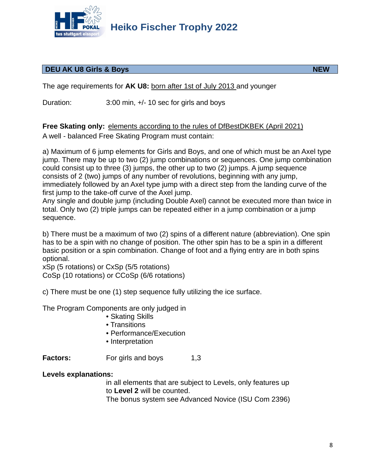

## **DEU AK U8 Girls & Boys NEW**

The age requirements for **AK U8:** born after 1st of July 2013 and younger

Duration: 3:00 min,  $+/- 10$  sec for girls and boys

**Free Skating only:** elements according to the rules of DfBestDKBEK (April 2021) A well - balanced Free Skating Program must contain:

a) Maximum of 6 jump elements for Girls and Boys, and one of which must be an Axel type jump. There may be up to two (2) jump combinations or sequences. One jump combination could consist up to three (3) jumps, the other up to two (2) jumps. A jump sequence consists of 2 (two) jumps of any number of revolutions, beginning with any jump, immediately followed by an Axel type jump with a direct step from the landing curve of the first jump to the take-off curve of the Axel jump.

Any single and double jump (including Double Axel) cannot be executed more than twice in total. Only two (2) triple jumps can be repeated either in a jump combination or a jump sequence.

b) There must be a maximum of two (2) spins of a different nature (abbreviation). One spin has to be a spin with no change of position. The other spin has to be a spin in a different basic position or a spin combination. Change of foot and a flying entry are in both spins optional.

xSp (5 rotations) or CxSp (5/5 rotations) CoSp (10 rotations) or CCoSp (6/6 rotations)

c) There must be one (1) step sequence fully utilizing the ice surface.

The Program Components are only judged in

- Skating Skills
- Transitions
- Performance/Execution
- Interpretation

**Factors:** For girls and boys 1,3

#### **Levels explanations:**

in all elements that are subject to Levels, only features up to **Level 2** will be counted.

The bonus system see Advanced Novice (ISU Com 2396)